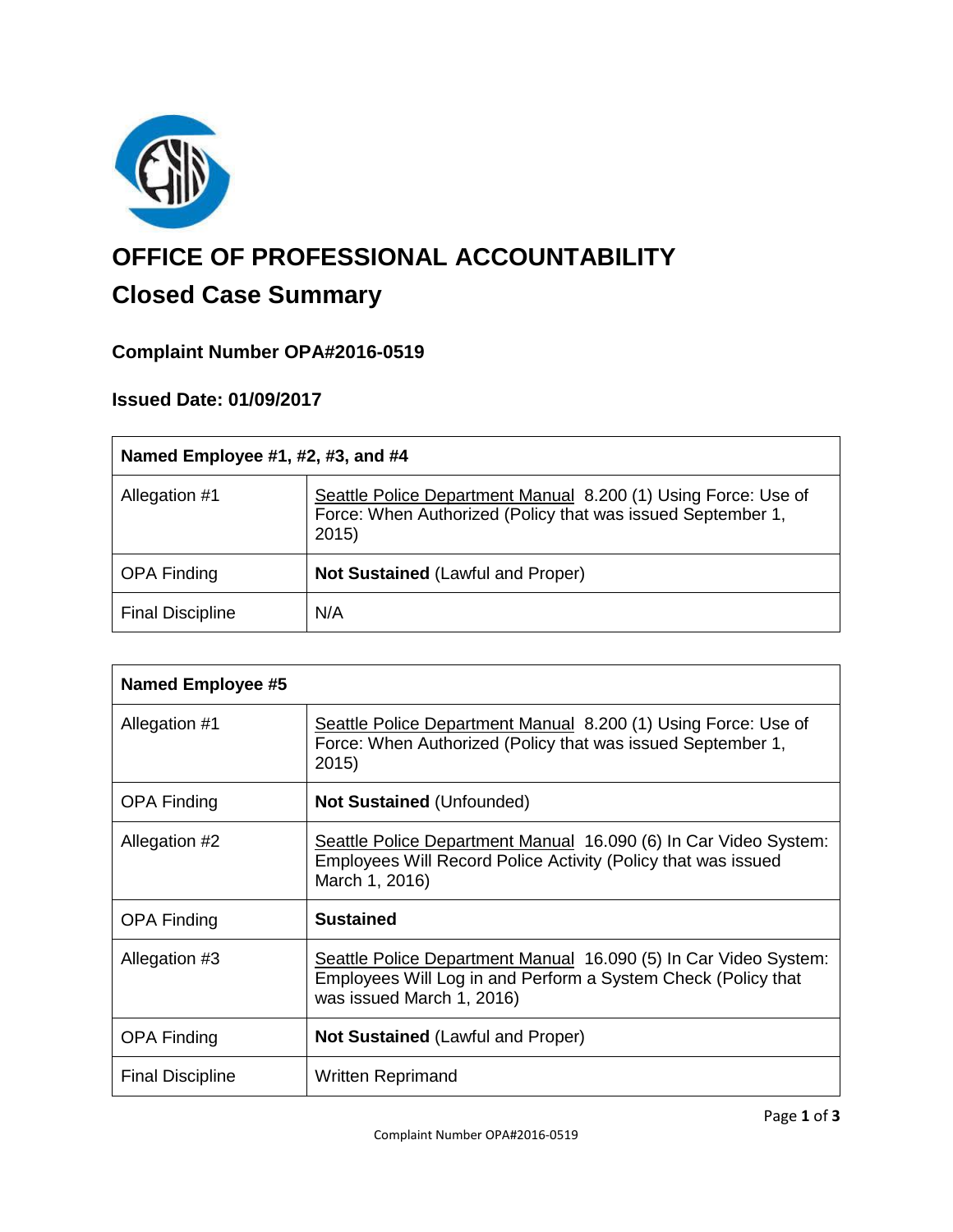

# **OFFICE OF PROFESSIONAL ACCOUNTABILITY**

## **Closed Case Summary**

### **Complaint Number OPA#2016-0519**

#### **Issued Date: 01/09/2017**

| Named Employee #1, #2, #3, and #4 |                                                                                                                                       |
|-----------------------------------|---------------------------------------------------------------------------------------------------------------------------------------|
| Allegation #1                     | Seattle Police Department Manual 8.200 (1) Using Force: Use of<br>Force: When Authorized (Policy that was issued September 1,<br>2015 |
| <b>OPA Finding</b>                | <b>Not Sustained (Lawful and Proper)</b>                                                                                              |
| <b>Final Discipline</b>           | N/A                                                                                                                                   |

| Named Employee #5       |                                                                                                                                                                |
|-------------------------|----------------------------------------------------------------------------------------------------------------------------------------------------------------|
| Allegation #1           | Seattle Police Department Manual 8.200 (1) Using Force: Use of<br>Force: When Authorized (Policy that was issued September 1,<br>2015)                         |
| <b>OPA Finding</b>      | <b>Not Sustained (Unfounded)</b>                                                                                                                               |
| Allegation #2           | Seattle Police Department Manual 16.090 (6) In Car Video System:<br>Employees Will Record Police Activity (Policy that was issued<br>March 1, 2016)            |
| <b>OPA Finding</b>      | <b>Sustained</b>                                                                                                                                               |
| Allegation #3           | Seattle Police Department Manual 16.090 (5) In Car Video System:<br>Employees Will Log in and Perform a System Check (Policy that<br>was issued March 1, 2016) |
| <b>OPA Finding</b>      | <b>Not Sustained (Lawful and Proper)</b>                                                                                                                       |
| <b>Final Discipline</b> | <b>Written Reprimand</b>                                                                                                                                       |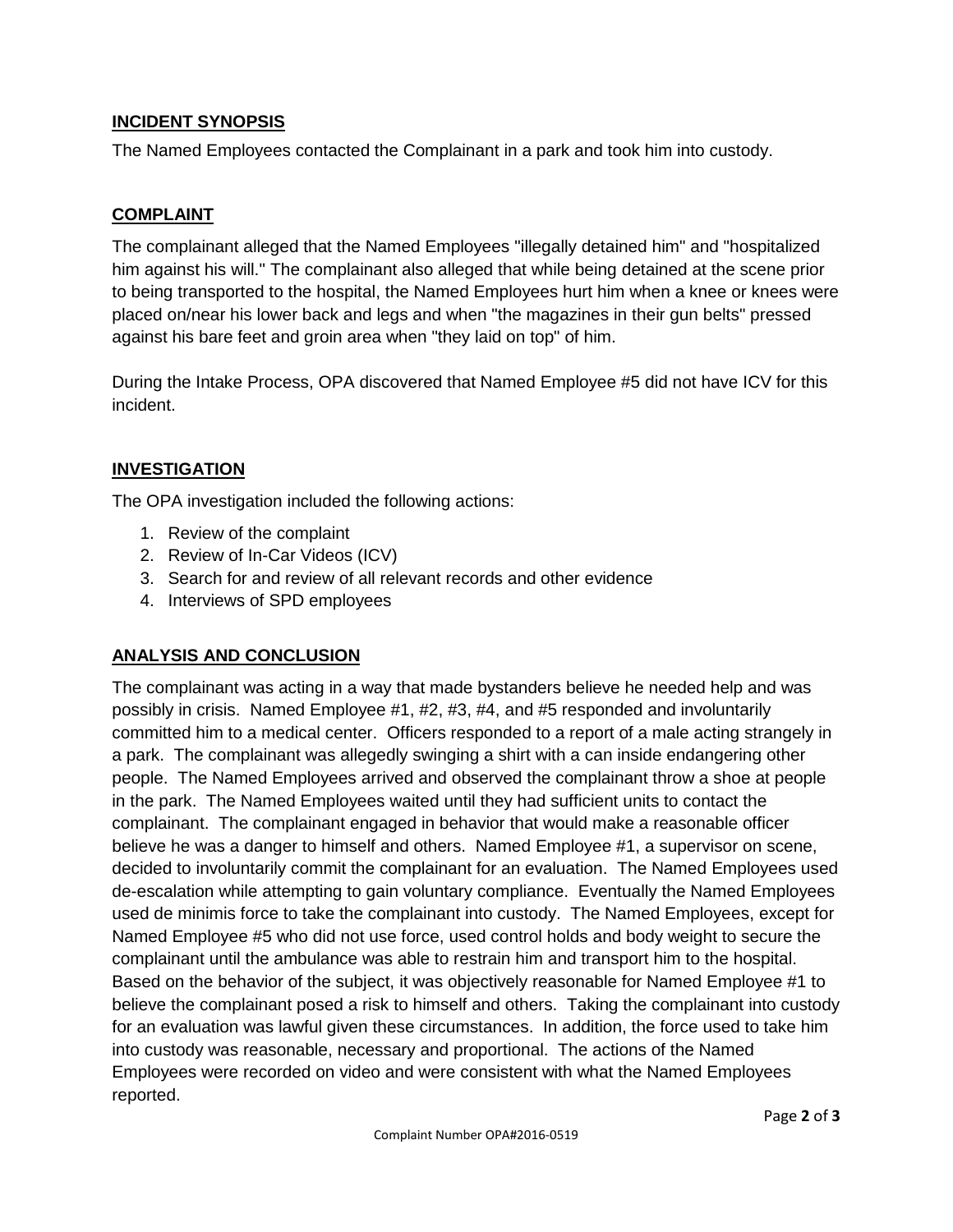#### **INCIDENT SYNOPSIS**

The Named Employees contacted the Complainant in a park and took him into custody.

#### **COMPLAINT**

The complainant alleged that the Named Employees "illegally detained him" and "hospitalized him against his will." The complainant also alleged that while being detained at the scene prior to being transported to the hospital, the Named Employees hurt him when a knee or knees were placed on/near his lower back and legs and when "the magazines in their gun belts" pressed against his bare feet and groin area when "they laid on top" of him.

During the Intake Process, OPA discovered that Named Employee #5 did not have ICV for this incident.

#### **INVESTIGATION**

The OPA investigation included the following actions:

- 1. Review of the complaint
- 2. Review of In-Car Videos (ICV)
- 3. Search for and review of all relevant records and other evidence
- 4. Interviews of SPD employees

#### **ANALYSIS AND CONCLUSION**

The complainant was acting in a way that made bystanders believe he needed help and was possibly in crisis. Named Employee #1, #2, #3, #4, and #5 responded and involuntarily committed him to a medical center. Officers responded to a report of a male acting strangely in a park. The complainant was allegedly swinging a shirt with a can inside endangering other people. The Named Employees arrived and observed the complainant throw a shoe at people in the park. The Named Employees waited until they had sufficient units to contact the complainant. The complainant engaged in behavior that would make a reasonable officer believe he was a danger to himself and others. Named Employee #1, a supervisor on scene, decided to involuntarily commit the complainant for an evaluation. The Named Employees used de-escalation while attempting to gain voluntary compliance. Eventually the Named Employees used de minimis force to take the complainant into custody. The Named Employees, except for Named Employee #5 who did not use force, used control holds and body weight to secure the complainant until the ambulance was able to restrain him and transport him to the hospital. Based on the behavior of the subject, it was objectively reasonable for Named Employee #1 to believe the complainant posed a risk to himself and others. Taking the complainant into custody for an evaluation was lawful given these circumstances. In addition, the force used to take him into custody was reasonable, necessary and proportional. The actions of the Named Employees were recorded on video and were consistent with what the Named Employees reported.